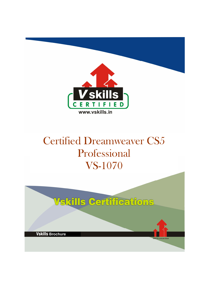

# Certified Dreamweaver CS5 Professional VS-1070

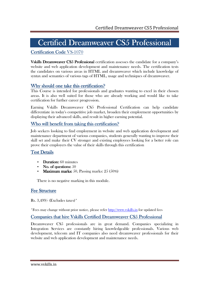# Certified Dreamweaver CS5 Professional

### Certification Code VS-1070

Vskills Dreamweaver CS5 Professional certification assesses the candidate for a company's website and web application development and maintenance needs. The certification tests the candidates on various areas in HTML and dreamweaver which include knowledge of syntax and semantics of various tags of HTML, usage and techniques of dreamweaver.

### Why should one take this certification?

This Course is intended for professionals and graduates wanting to excel in their chosen areas. It is also well suited for those who are already working and would like to take certification for further career progression.

Earning Vskills Dreamweaver CS5 Professional Certification can help candidate differentiate in today's competitive job market, broaden their employment opportunities by displaying their advanced skills, and result in higher earning potential.

### Who will benefit from taking this certification?

Job seekers looking to find employment in website and web application development and maintenance department of various companies, students generally wanting to improve their skill set and make their CV stronger and existing employees looking for a better role can prove their employers the value of their skills through this certification

#### Test Details

- Duration:  $60$  minutes
- $\mathbf{N}$ o. of questions:  $50$
- Maximum marks: 50, Passing marks:  $25(50\%)$

There is no negative marking in this module.

#### **Fee Structure**

Rs. 3,499/- (Excludes taxes)\*

\*Fees may change without prior notice, please refer http://www.vskills.in for updated fees

#### Companies that hire Vskills Certified Dreamweaver CS5 Professional

Dreamweaver CS5 professionals are in great demand. Companies specializing in Integration Services are constantly hiring knowledgeable professionals. Various web development, telecom and IT companies also need dreamweaver professionals for their website and web application development and maintenance needs.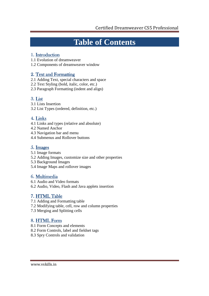# **Table of Contents**

### 1. Introduction

1.1 Evolution of dreamweaver

1.2 Components of dreamweaver window

### 2. Text and Formatting

- 2.1 Adding Text, special characters and space
- 2.2 Text Styling (bold, italic, color, etc.)
- 2.3 Paragraph Formatting (indent and align)

## 3. List

- 3.1 Lists Insertion
- 3.2 List Types (ordered, definition, etc.)

### 4. Links

- 4.1 Links and types (relative and absolute)
- 4.2 Named Anchor
- 4.3 Navigation bar and menu
- 4.4 Submenus and Rollover buttons

### 5. Images

- 5.1 Image formats
- 5.2 Adding Images, customize size and other properties
- 5.3 Background Images
- 5.4 Image Maps and rollover images

## 6. Multimedia

- 6.1 Audio and Video formats
- 6.2 Audio, Video, Flash and Java applets insertion

## 7. HTML Table

- 7.1 Adding and Formatting table
- 7.2 Modifying table, cell, row and column properties
- 7.3 Merging and Splitting cells

## 8. HTML Form

- 8.1 Form Concepts and elements
- 8.2 Form Controls, label and fieldset tags
- 8.3 Spry Controls and validation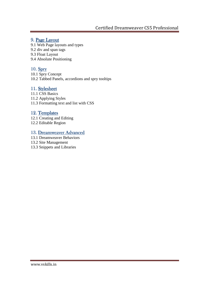### 9. Page Layout

- 9.1 Web Page layouts and types
- 9.2 div and span tags
- 9.3 Float Layout
- 9.4 Absolute Positioning

### 10. Spry

10.1 Spry Concept 10.2 Tabbed Panels, accordions and spry tooltips

### 11. Stylesheet

11.1 CSS Basics 11.2 Applying Styles 11.3 Formatting text and list with CSS

### 12. Templates

12.1 Creating and Editing 12.2 Editable Region

#### 13. Dreamweaver Advanced

- 13.1 Dreamweaver Behaviors
- 13.2 Site Management
- 13.3 Snippets and Libraries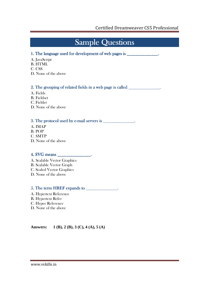# Sample Questions

#### 1. The language used for development of web pages is \_\_\_\_\_\_\_\_\_\_\_\_\_\_.

- A. JavaScript
- B. HTML
- C. CSS
- D. None of the above

### 2. The grouping of related fields in a web page is called \_\_\_\_\_\_\_\_\_\_\_\_\_\_.

- A. Fields
- B. Fieldset
- C. Fielder
- D. None of the above

#### 3. The protocol used by e-mail servers is \_\_\_\_\_\_\_\_\_\_\_\_\_\_.

- A. IMAP
- B. POP
- C. SMTP
- D. None of the above

#### 4. SVG means \_\_\_\_\_\_\_\_\_\_\_\_\_\_\_. SVG means \_\_\_\_\_\_\_\_\_\_\_\_\_\_\_. means \_\_\_\_\_\_\_\_\_\_\_\_\_\_\_.

- A. Scalable Vector Graphics
- B. Scalable Vector Graph
- C. Scaled Vector Graphics
- D. None of the above

#### $5.$  The term HREF expands to  $\frac{1}{\sqrt{2}}$

- A. Hypertext Reference B. Hypertext Refer
- C. Hyper Reference
- D. None of the above

**Answers: 1 (B), 2 (B), 3 (C), 4 (A), 5 (A)**